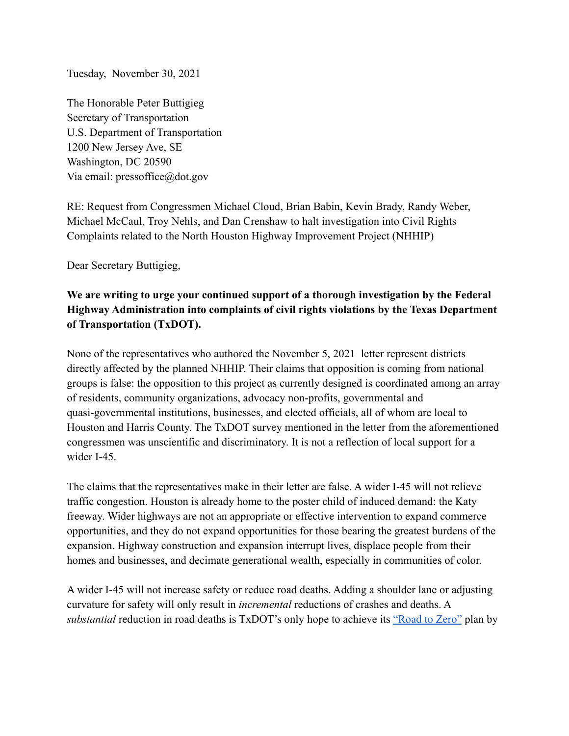Tuesday, November 30, 2021

The Honorable Peter Buttigieg Secretary of Transportation U.S. Department of Transportation 1200 New Jersey Ave, SE Washington, DC 20590 Via email: pressoffice@dot.gov

RE: Request from Congressmen Michael Cloud, Brian Babin, Kevin Brady, Randy Weber, Michael McCaul, Troy Nehls, and Dan Crenshaw to halt investigation into Civil Rights Complaints related to the North Houston Highway Improvement Project (NHHIP)

Dear Secretary Buttigieg,

## **We are writing to urge your continued support of a thorough investigation by the Federal Highway Administration into complaints of civil rights violations by the Texas Department of Transportation (TxDOT).**

None of the representatives who authored the November 5, 2021 letter represent districts directly affected by the planned NHHIP. Their claims that opposition is coming from national groups is false: the opposition to this project as currently designed is coordinated among an array of residents, community organizations, advocacy non-profits, governmental and quasi-governmental institutions, businesses, and elected officials, all of whom are local to Houston and Harris County. The TxDOT survey mentioned in the letter from the aforementioned congressmen was unscientific and discriminatory. It is not a reflection of local support for a wider I-45

The claims that the representatives make in their letter are false. A wider I-45 will not relieve traffic congestion. Houston is already home to the poster child of induced demand: the Katy freeway. Wider highways are not an appropriate or effective intervention to expand commerce opportunities, and they do not expand opportunities for those bearing the greatest burdens of the expansion. Highway construction and expansion interrupt lives, displace people from their homes and businesses, and decimate generational wealth, especially in communities of color.

A wider I-45 will not increase safety or reduce road deaths. Adding a shoulder lane or adjusting curvature for safety will only result in *incremental* reductions of crashes and deaths. A *substantial* reduction in road deaths is TxDOT's only hope to achieve its ["Road to Zero"](https://ftp.dot.state.tx.us/pub/txdot/commission/2019/0530/4-presentation.pdf) plan by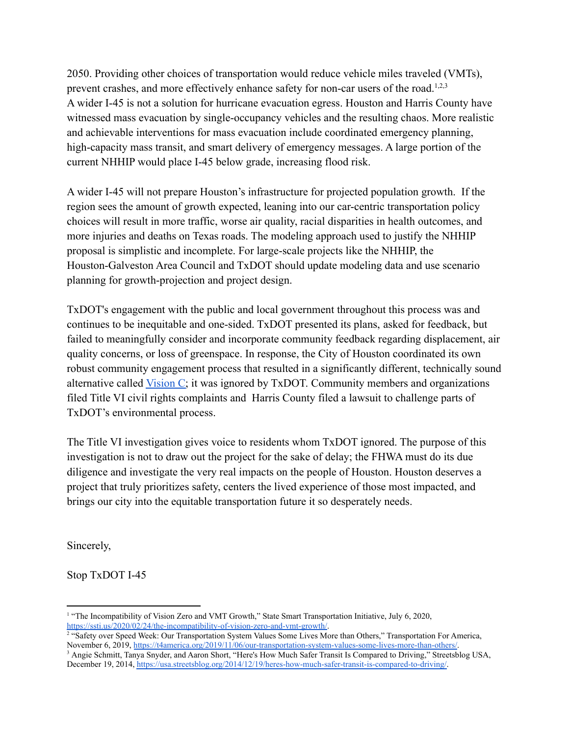2050. Providing other choices of transportation would reduce vehicle miles traveled (VMTs), prevent crashes, and more effectively enhance safety for non-car users of the road.<sup>1,2,3</sup> A wider I-45 is not a solution for hurricane evacuation egress. Houston and Harris County have witnessed mass evacuation by single-occupancy vehicles and the resulting chaos. More realistic and achievable interventions for mass evacuation include coordinated emergency planning, high-capacity mass transit, and smart delivery of emergency messages. A large portion of the current NHHIP would place I-45 below grade, increasing flood risk.

A wider I-45 will not prepare Houston's infrastructure for projected population growth. If the region sees the amount of growth expected, leaning into our car-centric transportation policy choices will result in more traffic, worse air quality, racial disparities in health outcomes, and more injuries and deaths on Texas roads. The modeling approach used to justify the NHHIP proposal is simplistic and incomplete. For large-scale projects like the NHHIP, the Houston-Galveston Area Council and TxDOT should update modeling data and use scenario planning for growth-projection and project design.

TxDOT's engagement with the public and local government throughout this process was and continues to be inequitable and one-sided. TxDOT presented its plans, asked for feedback, but failed to meaningfully consider and incorporate community feedback regarding displacement, air quality concerns, or loss of greenspace. In response, the City of Houston coordinated its own robust community engagement process that resulted in a significantly different, technically sound alternative called [Vision C;](https://www.houstontx.gov/planning/nhhip/#hear) it was ignored by TxDOT. Community members and organizations filed Title VI civil rights complaints and Harris County filed a lawsuit to challenge parts of TxDOT's environmental process.

The Title VI investigation gives voice to residents whom TxDOT ignored. The purpose of this investigation is not to draw out the project for the sake of delay; the FHWA must do its due diligence and investigate the very real impacts on the people of Houston. Houston deserves a project that truly prioritizes safety, centers the lived experience of those most impacted, and brings our city into the equitable transportation future it so desperately needs.

Sincerely,

Stop TxDOT I-45

<sup>&</sup>lt;sup>1</sup> "The Incompatibility of Vision Zero and VMT Growth." State Smart Transportation Initiative, July 6, 2020, <https://ssti.us/2020/02/24/the-incompatibility-of-vision-zero-and-vmt-growth/>.

<sup>&</sup>lt;sup>2</sup> "Safety over Speed Week: Our Transportation System Values Some Lives More than Others," Transportation For America, November 6, 2019, <https://t4america.org/2019/11/06/our-transportation-system-values-some-lives-more-than-others/>.

<sup>&</sup>lt;sup>3</sup> Angie Schmitt, Tanya Snyder, and Aaron Short, "Here's How Much Safer Transit Is Compared to Driving," Streetsblog USA, December 19, 2014, [https://usa.streetsblog.org/2014/12/19/heres-how-much-safer-transit-is-compared-to-driving/.](https://usa.streetsblog.org/2014/12/19/heres-how-much-safer-transit-is-compared-to-driving/)